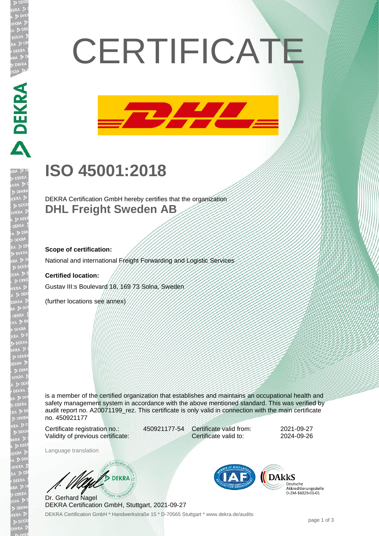# **CERTIFICATE**



## **ISO 45001:2018**

DEKRA Certification GmbH hereby certifies that the organization **DHL Freight Sweden AB**

#### **Scope of certification:**

National and international Freight Forwarding and Logistic Services

#### **Certified location:**

Gustav III:s Boulevard 18, 169 73 Solna, Sweden

(further locations see annex)

is a member of the certified organization that establishes and maintains an occupational health and safety management system in accordance with the above mentioned standard. This was verified by audit report no. A20071199 rez. This certificate is only valid in connection with the main certificate no. 450921177

Certificate registration no.: 450921177-54 Validity of previous certificate:

Certificate valid from: 2021-09-27 Certificate valid to: 2024-09-26

Language translation

**DEKRA** 

DEKRA Certification GmbH \* Handwerkstraße 15 \* D-70565 Stuttgart \* www.dekra.de/audits Dr. Gerhard Nagel DEKRA Certification GmbH, Stuttgart, 2021-09-27



Akkreditierungsstelle D-ZM-16029-01-01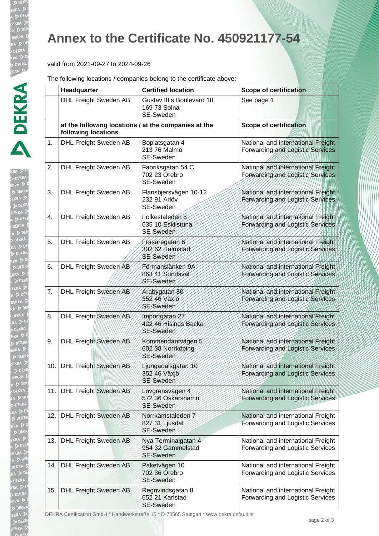AD

**DE** KR/

EKRA

b DE EKRA  $D<sub>DE</sub>$ EKR/

### **Annex to the Certificate No. 450921177-54**

#### valid from 2021-09-27 to 2024-09-26

The following locations / companies belong to the certificate above:

|     | Headquarter                                                                 | <b>Certified location</b>                                    | <b>Scope of certification</b>                                          |
|-----|-----------------------------------------------------------------------------|--------------------------------------------------------------|------------------------------------------------------------------------|
|     | <b>DHL Freight Sweden AB</b>                                                | Gustav III:s Boulevard 18<br>169 73 Solna<br>SE-Sweden       | See page 1                                                             |
|     | at the following locations / at the companies at the<br>following locations |                                                              | <b>Scope of certification</b>                                          |
| 1.  | <b>DHL Freight Sweden AB</b>                                                | Boplatsgatan 4<br>213 76 Malmö<br>SE-Sweden                  | National and international Freight<br>Forwarding and Logistic Services |
| 2.  | <b>DHL Freight Sweden AB</b>                                                | Fabriksgatan 54 C<br>702 23 Örebro<br>SE-Sweden              | National and international Freight<br>Forwarding and Logistic Services |
| 3.  | <b>DHL Freight Sweden AB</b>                                                | Flansbjersvägen 10-12<br>232 91 Arlöv<br>SE-Sweden           | National and international Freight<br>Forwarding and Logistic Services |
| 4.  | <b>DHL Freight Sweden AB</b>                                                | Folkestaleden <sub>5</sub><br>635 10 Eskilstuna<br>SE-Sweden | National and international Freight<br>Forwarding and Logistic Services |
| 5.  | <b>DHL Freight Sweden AB</b>                                                | Fräsaregatan 6<br>302 62 Halmstad<br>SE-Sweden               | National and international Freight<br>Forwarding and Logistic Services |
| 6.  | DHL Freight Sweden AB                                                       | Förmanslänken 9A<br>863 41 Sundsvall<br>SE-Sweden            | National and international Freight<br>Forwarding and Logistic Services |
| 7.  | DHL Freight Sweden AB                                                       | Arabygatan 80<br>352.46 Växjö<br>SE-Sweden                   | National and international Freight<br>Forwarding and Logistic Services |
| 8.  | DHL Freight Sweden AB                                                       | Importgatan 27<br>422/46 Hisings Backa<br>SE-Sweden          | National and international Freight<br>Forwarding and Logistic Services |
| 9.  | <b>DHL Freight Sweden AB</b>                                                | Kommendantvägen 5<br>602 38 Norrköping<br>SE-Sweden          | National and international Freight<br>Forwarding and Logistic Services |
| 10. | <b>DHL Freight Sweden AB</b>                                                | Ljungadalsgatan 10<br>352 46 Växjö<br>SE-Sweden              | National and international Freight<br>Forwarding and Logistic Services |
| 11. | <b>DHL Freight Sweden AB</b>                                                | Lövgrensvägen 4<br>572 36 Oskarshamn<br>SE-Sweden            | National and international Freight<br>Forwarding and Logistic Services |
| 12. | <b>DHL Freight Sweden AB</b>                                                | Norrkämstaleden 7<br>827 31 Ljusdal<br>SE-Sweden             | National and international Freight<br>Forwarding and Logistic Services |
| 13. | <b>DHL Freight Sweden AB</b>                                                | Nya Terminalgatan 4<br>954 32 Gammelstad<br><b>SE-Sweden</b> | National and international Freight<br>Forwarding and Logistic Services |
| 14. | <b>DHL Freight Sweden AB</b>                                                | Paketvägen 10<br>702 36 Örebro<br>SE-Sweden                  | National and international Freight<br>Forwarding and Logistic Services |
| 15. | <b>DHL Freight Sweden AB</b>                                                | Regnvindsgatan 8<br>652 21 Karlstad<br>SE-Sweden             | National and international Freight<br>Forwarding and Logistic Services |

DEKRA Certification GmbH \* Handwerkstraße 15 \* D-70565 Stuttgart \* www.dekra.de/audits